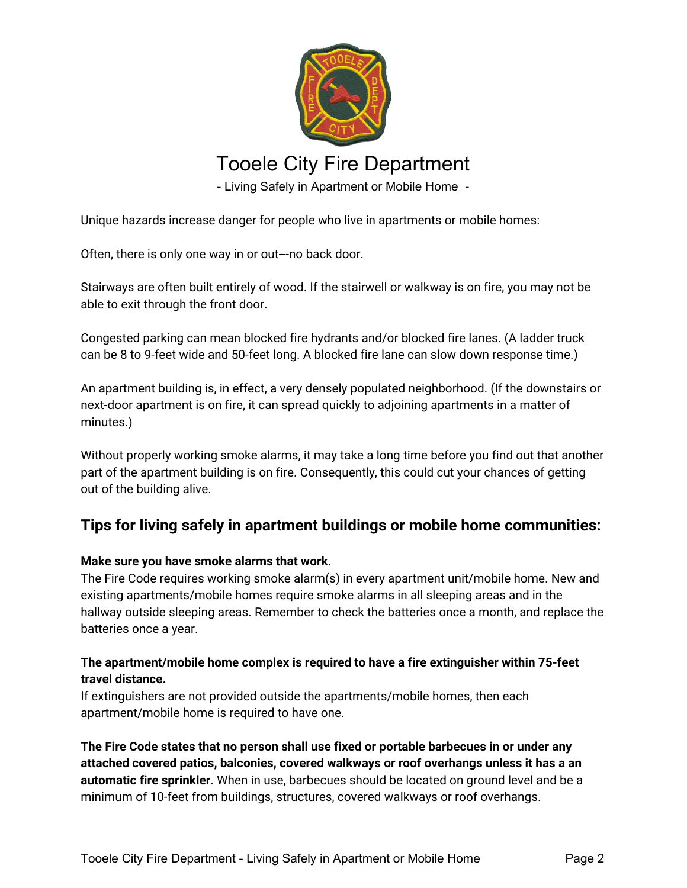

# Tooele City Fire Department

- Living Safely in Apartment or Mobile Home -

Unique hazards increase danger for people who live in apartments or mobile homes:

Often, there is only one way in or out---no back door.

Stairways are often built entirely of wood. If the stairwell or walkway is on fire, you may not be able to exit through the front door.

Congested parking can mean blocked fire hydrants and/or blocked fire lanes. (A ladder truck can be 8 to 9-feet wide and 50-feet long. A blocked fire lane can slow down response time.)

An apartment building is, in effect, a very densely populated neighborhood. (If the downstairs or next-door apartment is on fire, it can spread quickly to adjoining apartments in a matter of minutes.)

Without properly working smoke alarms, it may take a long time before you find out that another part of the apartment building is on fire. Consequently, this could cut your chances of getting out of the building alive.

## **Tips for living safely in apartment buildings or mobile home communities:**

## **Make sure you have smoke alarms that work**.

The Fire Code requires working smoke alarm(s) in every apartment unit/mobile home. New and existing apartments/mobile homes require smoke alarms in all sleeping areas and in the hallway outside sleeping areas. Remember to check the batteries once a month, and replace the batteries once a year.

## **The apartment/mobile home complex is required to have a fire extinguisher within 75-feet travel distance.**

If extinguishers are not provided outside the apartments/mobile homes, then each apartment/mobile home is required to have one.

**The Fire Code states that no person shall use fixed or portable barbecues in or under any attached covered patios, balconies, covered walkways or roof overhangs unless it has a an automatic fire sprinkler**. When in use, barbecues should be located on ground level and be a minimum of 10-feet from buildings, structures, covered walkways or roof overhangs.